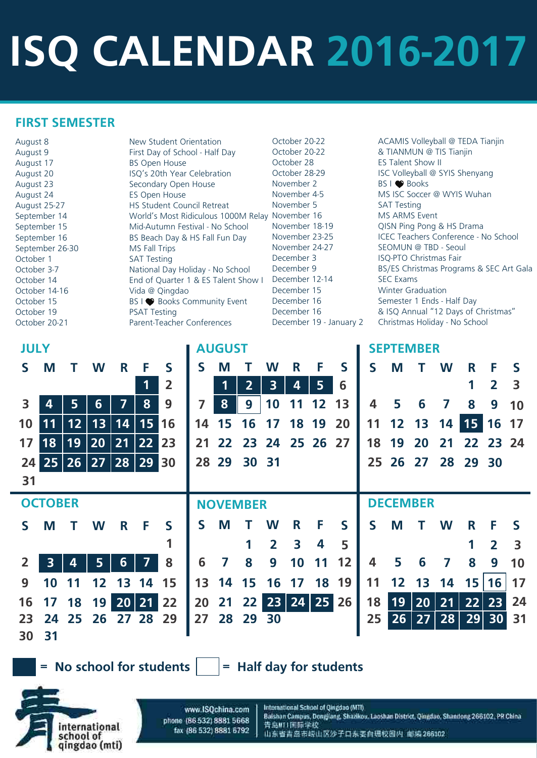# **ISQ CALENDAR 2016-2017**

| August 8        | New Student Orientation             |
|-----------------|-------------------------------------|
| August 9        | First Day of School - Half Day      |
| August 17       | <b>BS Open House</b>                |
| August 20       | ISQ's 20th Year Celebration         |
| August 23       | Secondary Open House                |
| August 24       | ES Open House                       |
| August 25-27    | <b>HS Student Council Retreat</b>   |
| September 14    | World's Most Ridiculous 1000M Relay |
| September 15    | Mid-Autumn Festival - No School     |
| September 16    | BS Beach Day & HS Fall Fun Day      |
| September 26-30 | MS Fall Trips                       |
| October 1       | <b>SAT Testing</b>                  |
| October 3-7     | National Day Holiday - No School    |
| October 14      | End of Quarter 1 & ES Talent Show I |
| October 14-16   | Vida @ Qingdao                      |
| October 15      | BS I ● Books Community Event        |
| October 19      | <b>PSAT Testing</b>                 |
| October 20-21   | Parent-Teacher Conferences          |

## October 28 **ES Talent Show II** November 2 BS I ● Books November 5 SAT Testing elay November 16 MS ARMS Event v I December 12-14 SEC Exams December 15 Winter Graduation

### **FIRST SEMESTER**

October 20-22 **ACAMIS Volleyball @ TEDA Tianjin** October 20-22 8 TIANMUN @ TIS Tianjin October 28-29 **ISC Volleyball @ SYIS Shenyang** November 4-5 MS ISC Soccer @ WYIS Wuhan November 18-19 QISN Ping Pong & HS Drama November 23-25 ICEC Teachers Conference - No School November 24-27 SEOMUN @ TBD - Seoul December 3 ISQ-PTO Christmas Fair December 9 BS/ES Christmas Programs & SEC Art Gala December 16 Semester 1 Ends - Half Day December 16 & ISQ Annual "12 Days of Christmas" December 19 - January 2 Christmas Holiday - No School

| <b>JULY</b> |                |    |    |    |       |                |              | <b>AUGUST</b> |                 |              |                   |    |    |              |       | <b>SEPTEMBER</b> |    |          |                          |                 |
|-------------|----------------|----|----|----|-------|----------------|--------------|---------------|-----------------|--------------|-------------------|----|----|--------------|-------|------------------|----|----------|--------------------------|-----------------|
| S           | M              |    | W  | R  | F     | $\mathsf{S}$   | $\mathsf{S}$ | M             |                 | W            | R                 | F  | S  | $\mathsf{S}$ | M     |                  | W  | R        | F                        | <b>S</b>        |
|             |                |    |    |    |       | $\overline{2}$ |              |               | $\overline{2}$  | 3            | 4                 | 5  | 6  |              |       |                  |    |          | $\overline{\mathbf{2}}$  | 3               |
| 3           |                | 5  | 6  | 7  | 8     | 9              |              | 8             | 9               | 10           | 11                | 12 | 13 | 4            | 5     | 6                | 7  | 8        | 9                        | 10              |
| 10          |                | 12 | 13 | 14 | 15 16 |                | 14           | 15            | 16              |              | 18                | 19 | 20 |              | 12 13 |                  | 14 | 15       | 16                       | $\overline{17}$ |
| 17          | 18             | 19 | 20 | 21 | 22 23 |                | 21           |               |                 |              | 22 23 24 25 26 27 |    |    | 18           | 19    | 20               | 21 | 22 23 24 |                          |                 |
| 24          | 25             | 26 | 27 | 28 | 29 30 |                |              |               | 28 29 30 31     |              |                   |    |    |              |       | 25 26 27         |    | 28 29 30 |                          |                 |
| 31          |                |    |    |    |       |                |              |               |                 |              |                   |    |    |              |       |                  |    |          |                          |                 |
|             | <b>OCTOBER</b> |    |    |    |       |                |              |               | <b>NOVEMBER</b> |              |                   |    |    |              |       | <b>DECEMBER</b>  |    |          |                          |                 |
| S           | M              |    | W  | R  | F     | $\mathsf{S}$   | $\mathsf{S}$ | M             |                 | W            | R                 | F  | S  | $\mathsf{S}$ | M     |                  | W  | R        | F                        | <b>S</b>        |
|             |                |    |    |    |       |                |              |               |                 | $\mathbf{z}$ | 3                 | 4  | 5  |              |       |                  |    |          | $\overline{\phantom{a}}$ | 3               |
|             |                |    |    | 6  |       | 8              | 6            |               | 8               | 9            |                   |    | 12 | 4            | 5     | 6                |    | 8        | 9                        | 10              |

**30 9 10 11 15 12 13 14 16 17 24 18 25 19 20 21 22 23 26 27 28 29 16 17 13 14 15 18 19 20 21 28 22 29 27 30 25 26 23 24 19 31 14 15 11 12 13 16 17 18 24 25 31 26 20 27 21 22 23 28 29 30**

**= No school for students = Half day for students**

www.ISQchina.com phone (86-532) 8881 5668 fax (86 532) 8881 6792

international

qingdao (mti)

school of

International School of Qingdao (MTI) Balshan Campus, Dongjiang, Shazikou. Laoshan District, Qingdao, Shandong 266102. PR China 青岛MTI画际学校 山东省青岛市崂山区沙子口东表白珊校园内 邮编 266102